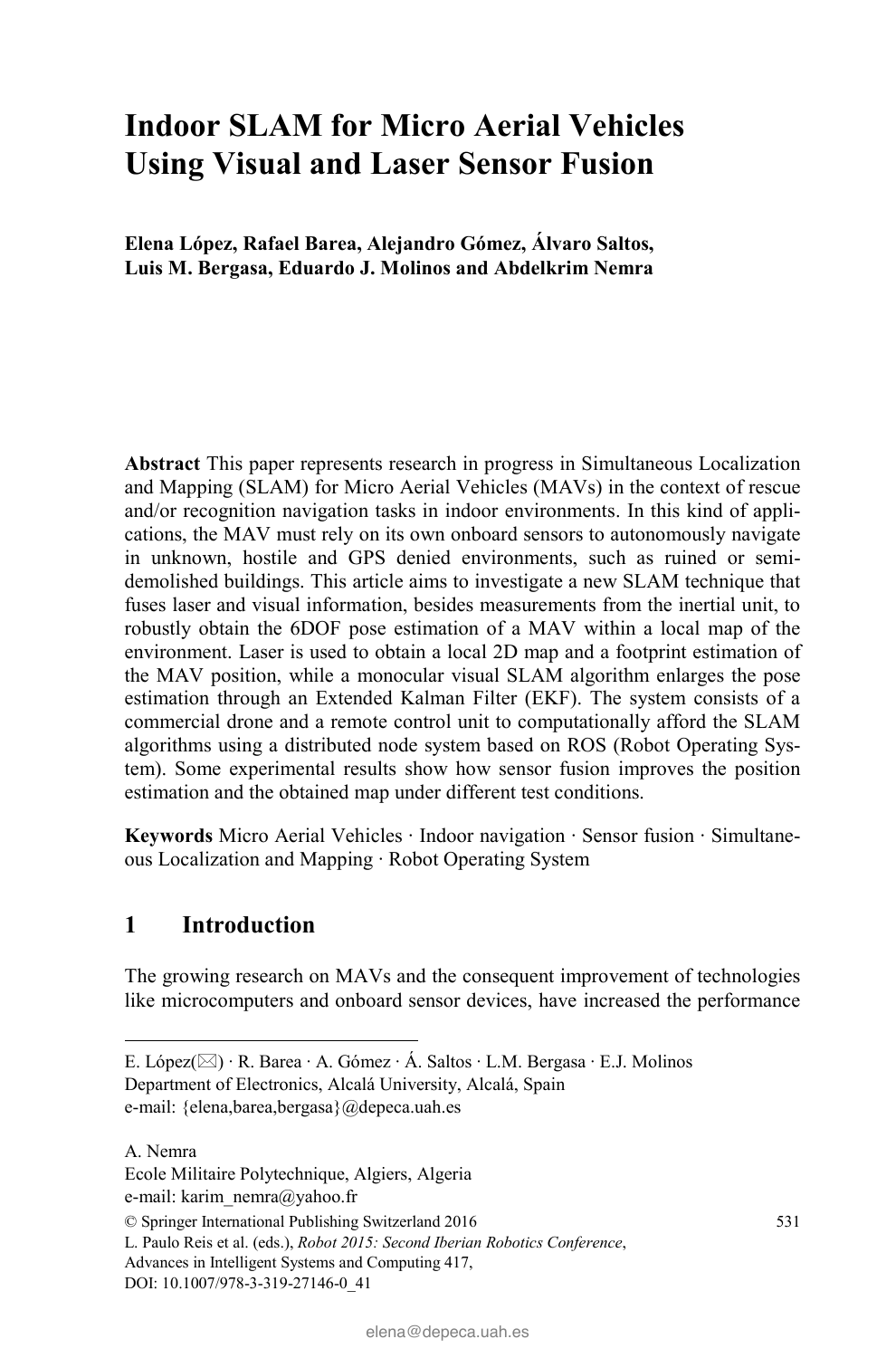# **Indoor SLAM for Micro Aerial Vehicles Using Visual and Laser Sensor Fusion**

**Elena López, Rafael Barea, Alejandro Gómez, Álvaro Saltos, Luis M. Bergasa, Eduardo J. Molinos and Abdelkrim Nemra \***

**Abstract** This paper represents research in progress in Simultaneous Localization and Mapping (SLAM) for Micro Aerial Vehicles (MAVs) in the context of rescue and/or recognition navigation tasks in indoor environments. In this kind of applications, the MAV must rely on its own onboard sensors to autonomously navigate in unknown, hostile and GPS denied environments, such as ruined or semidemolished buildings. This article aims to investigate a new SLAM technique that fuses laser and visual information, besides measurements from the inertial unit, to robustly obtain the 6DOF pose estimation of a MAV within a local map of the environment. Laser is used to obtain a local 2D map and a footprint estimation of the MAV position, while a monocular visual SLAM algorithm enlarges the pose estimation through an Extended Kalman Filter (EKF). The system consists of a commercial drone and a remote control unit to computationally afford the SLAM algorithms using a distributed node system based on ROS (Robot Operating System). Some experimental results show how sensor fusion improves the position estimation and the obtained map under different test conditions.

**Keywords** Micro Aerial Vehicles · Indoor navigation · Sensor fusion · Simultaneous Localization and Mapping · Robot Operating System

## **1 Introduction**

The growing research on MAVs and the consequent improvement of technologies like microcomputers and onboard sensor devices, have increased the performance

A. Nemra

-

 e-mail: karim\_nemra@yahoo.fr Ecole Militaire Polytechnique, Algiers, Algeria

E. López( $\boxtimes$ ) · R. Barea · A. Gómez · Á. Saltos · L.M. Bergasa · E.J. Molinos Department of Electronics, Alcalá University, Alcalá, Spain e-mail: {elena,barea,bergasa}@depeca.uah.es

<sup>©</sup> Springer International Publishing Switzerland 2016 531

L. Paulo Reis et al. (eds.), *Robot 2015: Second Iberian Robotics Conference*, Advances in Intelligent Systems and Computing 417,

DOI: 10.1007/978-3-319-27146-0\_41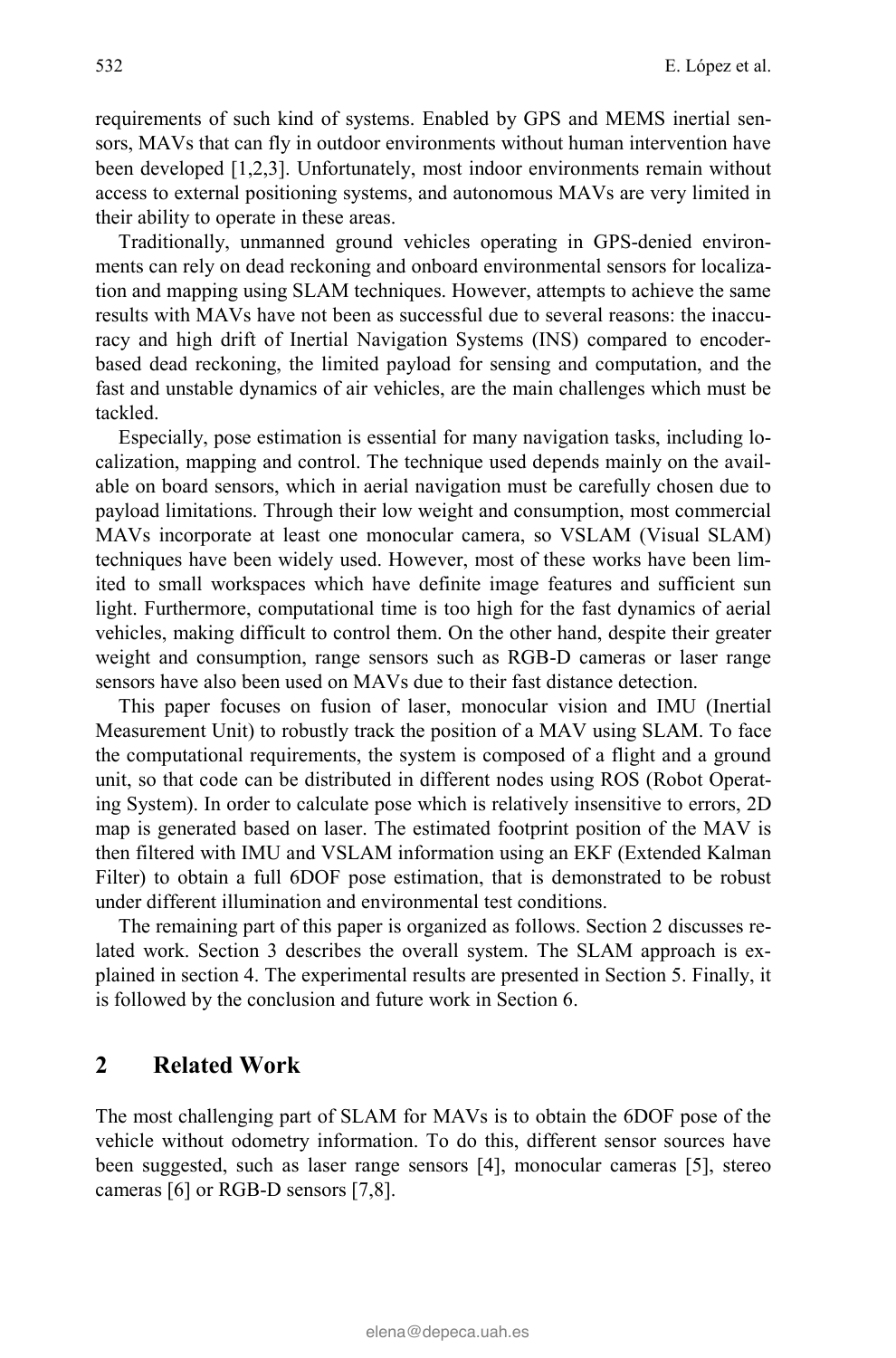requirements of such kind of systems. Enabled by GPS and MEMS inertial sensors, MAVs that can fly in outdoor environments without human intervention have been developed [1,2,3]. Unfortunately, most indoor environments remain without access to external positioning systems, and autonomous MAVs are very limited in their ability to operate in these areas.

Traditionally, unmanned ground vehicles operating in GPS-denied environments can rely on dead reckoning and onboard environmental sensors for localization and mapping using SLAM techniques. However, attempts to achieve the same results with MAVs have not been as successful due to several reasons: the inaccuracy and high drift of Inertial Navigation Systems (INS) compared to encoderbased dead reckoning, the limited payload for sensing and computation, and the fast and unstable dynamics of air vehicles, are the main challenges which must be tackled.

Especially, pose estimation is essential for many navigation tasks, including localization, mapping and control. The technique used depends mainly on the available on board sensors, which in aerial navigation must be carefully chosen due to payload limitations. Through their low weight and consumption, most commercial MAVs incorporate at least one monocular camera, so VSLAM (Visual SLAM) techniques have been widely used. However, most of these works have been limited to small workspaces which have definite image features and sufficient sun light. Furthermore, computational time is too high for the fast dynamics of aerial vehicles, making difficult to control them. On the other hand, despite their greater weight and consumption, range sensors such as RGB-D cameras or laser range sensors have also been used on MAVs due to their fast distance detection.

This paper focuses on fusion of laser, monocular vision and IMU (Inertial Measurement Unit) to robustly track the position of a MAV using SLAM. To face the computational requirements, the system is composed of a flight and a ground unit, so that code can be distributed in different nodes using ROS (Robot Operating System). In order to calculate pose which is relatively insensitive to errors, 2D map is generated based on laser. The estimated footprint position of the MAV is then filtered with IMU and VSLAM information using an EKF (Extended Kalman Filter) to obtain a full 6DOF pose estimation, that is demonstrated to be robust under different illumination and environmental test conditions.

The remaining part of this paper is organized as follows. Section 2 discusses related work. Section 3 describes the overall system. The SLAM approach is explained in section 4. The experimental results are presented in Section 5. Finally, it is followed by the conclusion and future work in Section 6.

## **2 Related Work**

The most challenging part of SLAM for MAVs is to obtain the 6DOF pose of the vehicle without odometry information. To do this, different sensor sources have been suggested, such as laser range sensors [4], monocular cameras [5], stereo cameras [6] or RGB-D sensors [7,8].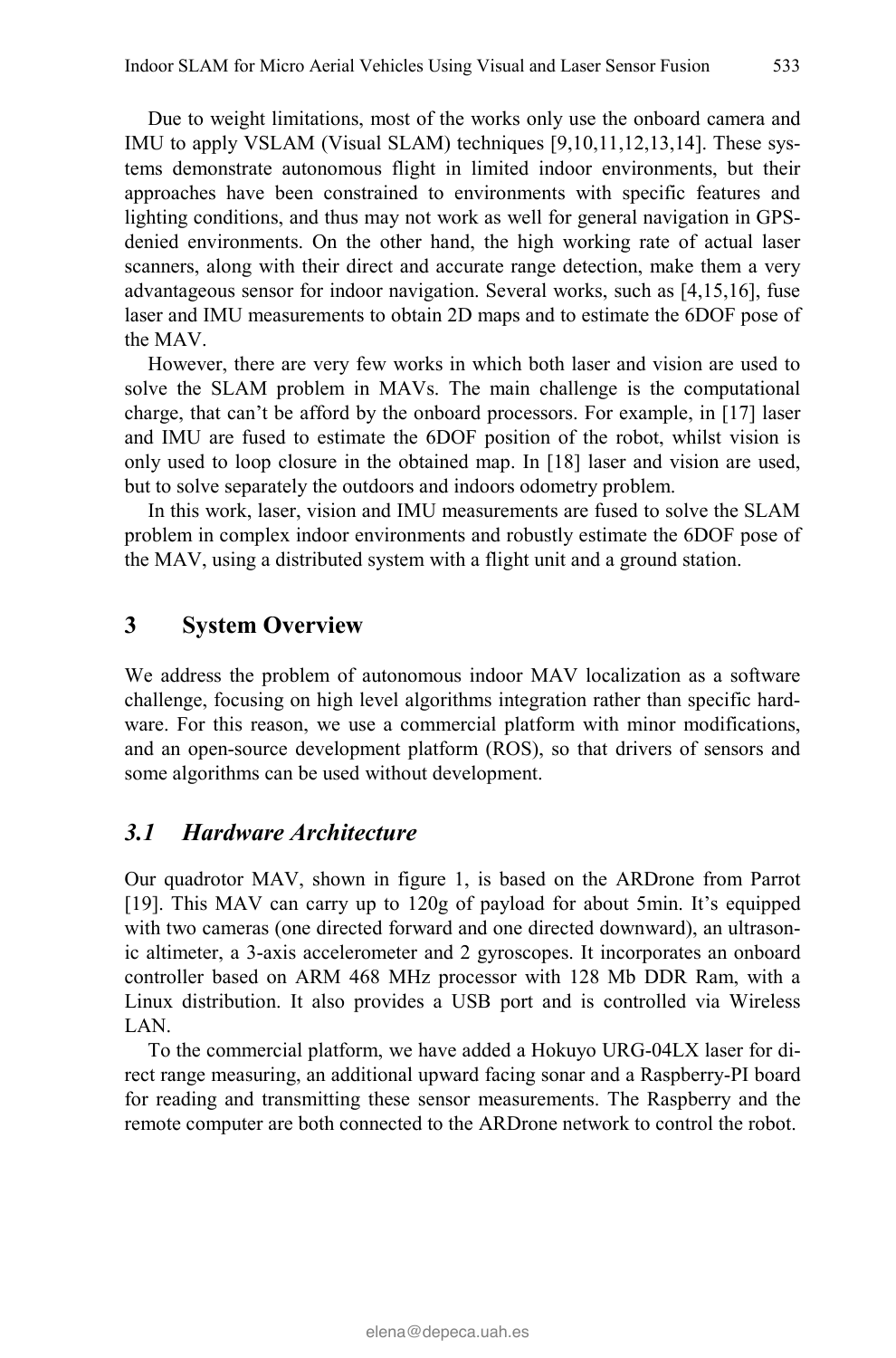Due to weight limitations, most of the works only use the onboard camera and IMU to apply VSLAM (Visual SLAM) techniques [9,10,11,12,13,14]. These systems demonstrate autonomous flight in limited indoor environments, but their approaches have been constrained to environments with specific features and lighting conditions, and thus may not work as well for general navigation in GPSdenied environments. On the other hand, the high working rate of actual laser scanners, along with their direct and accurate range detection, make them a very advantageous sensor for indoor navigation. Several works, such as [4,15,16], fuse laser and IMU measurements to obtain 2D maps and to estimate the 6DOF pose of the MAV.

However, there are very few works in which both laser and vision are used to solve the SLAM problem in MAVs. The main challenge is the computational charge, that can't be afford by the onboard processors. For example, in [17] laser and IMU are fused to estimate the 6DOF position of the robot, whilst vision is only used to loop closure in the obtained map. In [18] laser and vision are used, but to solve separately the outdoors and indoors odometry problem.

In this work, laser, vision and IMU measurements are fused to solve the SLAM problem in complex indoor environments and robustly estimate the 6DOF pose of the MAV, using a distributed system with a flight unit and a ground station.

#### **3 System Overview**

We address the problem of autonomous indoor MAV localization as a software challenge, focusing on high level algorithms integration rather than specific hardware. For this reason, we use a commercial platform with minor modifications, and an open-source development platform (ROS), so that drivers of sensors and some algorithms can be used without development.

#### *3.1 Hardware Architecture*

Our quadrotor MAV, shown in figure 1, is based on the ARDrone from Parrot [19]. This MAV can carry up to 120g of payload for about 5min. It's equipped with two cameras (one directed forward and one directed downward), an ultrasonic altimeter, a 3-axis accelerometer and 2 gyroscopes. It incorporates an onboard controller based on ARM 468 MHz processor with 128 Mb DDR Ram, with a Linux distribution. It also provides a USB port and is controlled via Wireless LAN.

To the commercial platform, we have added a Hokuyo URG-04LX laser for direct range measuring, an additional upward facing sonar and a Raspberry-PI board for reading and transmitting these sensor measurements. The Raspberry and the remote computer are both connected to the ARDrone network to control the robot.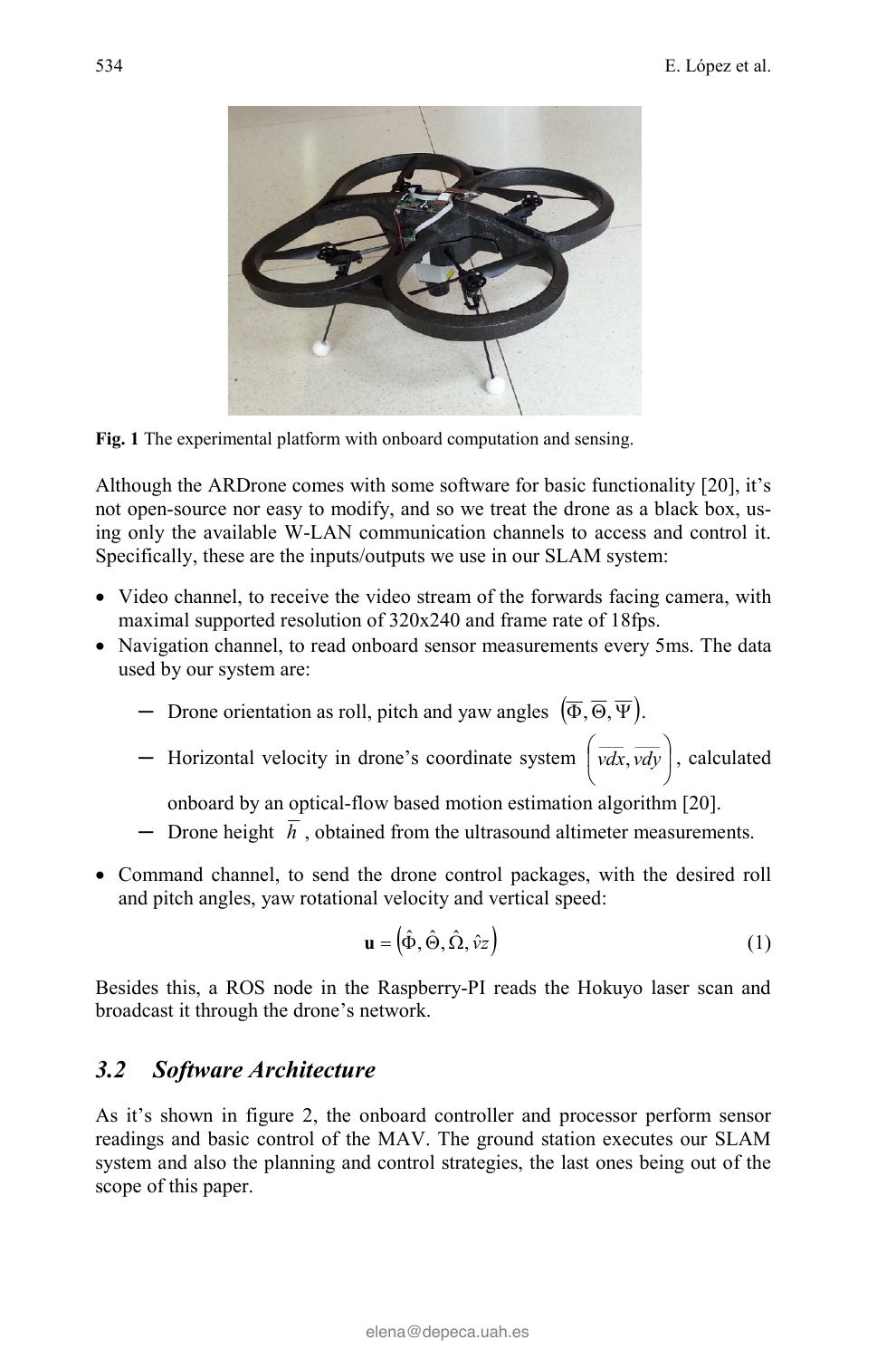

**Fig. 1** The experimental platform with onboard computation and sensing.

Although the ARDrone comes with some software for basic functionality [20], it's not open-source nor easy to modify, and so we treat the drone as a black box, using only the available W-LAN communication channels to access and control it. Specifically, these are the inputs/outputs we use in our SLAM system:

- Video channel, to receive the video stream of the forwards facing camera, with maximal supported resolution of 320x240 and frame rate of 18fps.
- Navigation channel, to read onboard sensor measurements every 5ms. The data used by our system are:
	- Drone orientation as roll, pitch and yaw angles  $(\overline{\Phi}, \overline{\Theta}, \overline{\Psi})$ .
	- $-$  Horizontal velocity in drone's coordinate system  $|v dx, v dy|$ )  $\left(\overline{vdx}, \overline{vdy}\right)$  $\overline{\phantom{0}}$  $\left(\overline{vdx}, \overline{vdy}\right)$ , calculated

onboard by an optical-flow based motion estimation algorithm [20].

- $\overline{h}$  Drone height  $\overline{h}$ , obtained from the ultrasound altimeter measurements.
- Command channel, to send the drone control packages, with the desired roll and pitch angles, yaw rotational velocity and vertical speed:

$$
\mathbf{u} = (\hat{\Phi}, \hat{\Theta}, \hat{\Omega}, \hat{\nu}z)
$$
 (1)

Besides this, a ROS node in the Raspberry-PI reads the Hokuyo laser scan and broadcast it through the drone's network.

## *3.2 Software Architecture*

As it's shown in figure 2, the onboard controller and processor perform sensor readings and basic control of the MAV. The ground station executes our SLAM system and also the planning and control strategies, the last ones being out of the scope of this paper.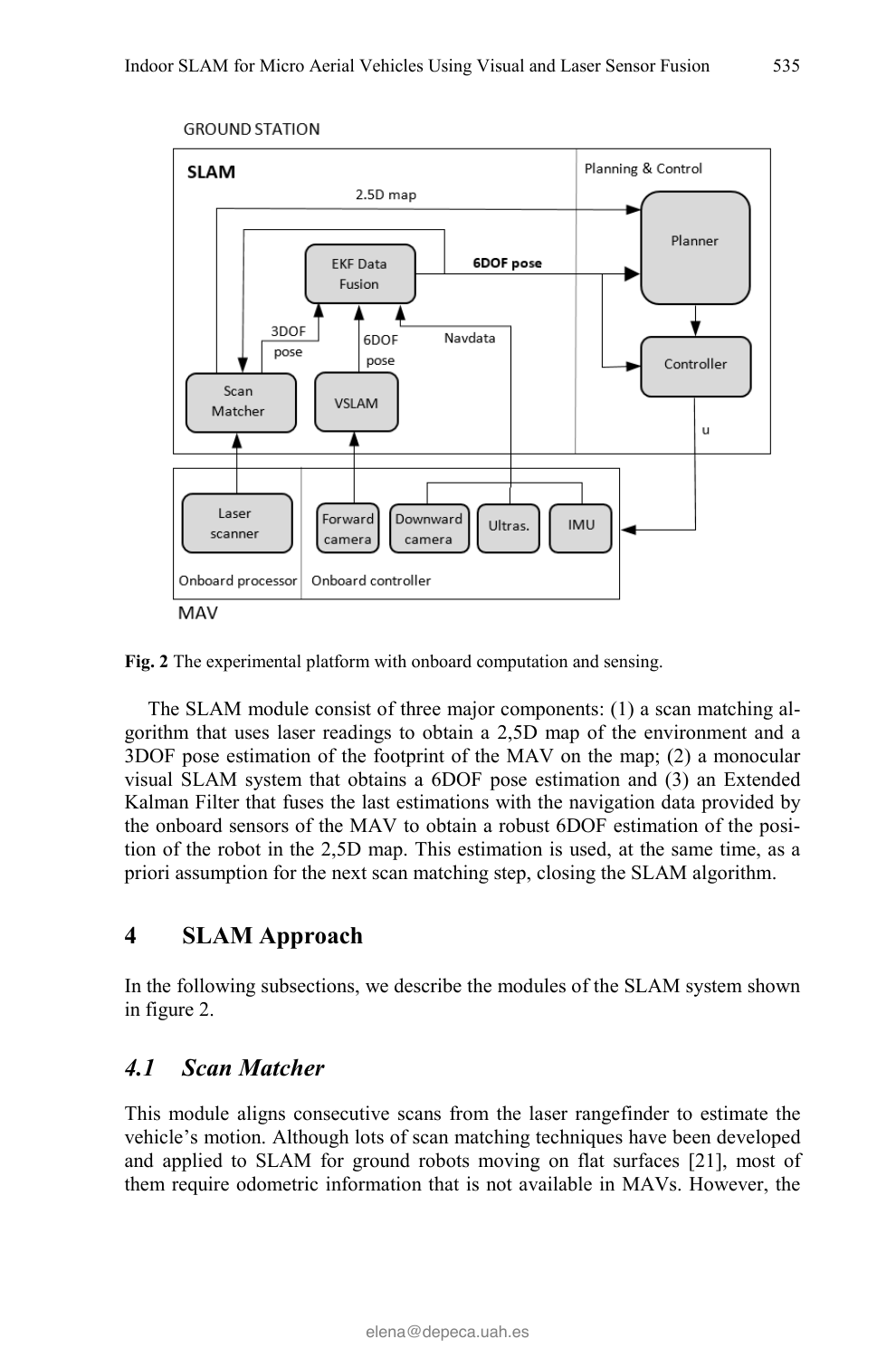

**GROUND STATION** 

**Fig. 2** The experimental platform with onboard computation and sensing.

The SLAM module consist of three major components: (1) a scan matching algorithm that uses laser readings to obtain a 2,5D map of the environment and a 3DOF pose estimation of the footprint of the MAV on the map; (2) a monocular visual SLAM system that obtains a 6DOF pose estimation and (3) an Extended Kalman Filter that fuses the last estimations with the navigation data provided by the onboard sensors of the MAV to obtain a robust 6DOF estimation of the position of the robot in the 2,5D map. This estimation is used, at the same time, as a priori assumption for the next scan matching step, closing the SLAM algorithm.

# **4 SLAM Approach**

In the following subsections, we describe the modules of the SLAM system shown in figure 2.

# *4.1 Scan Matcher*

This module aligns consecutive scans from the laser rangefinder to estimate the vehicle's motion. Although lots of scan matching techniques have been developed and applied to SLAM for ground robots moving on flat surfaces [21], most of them require odometric information that is not available in MAVs. However, the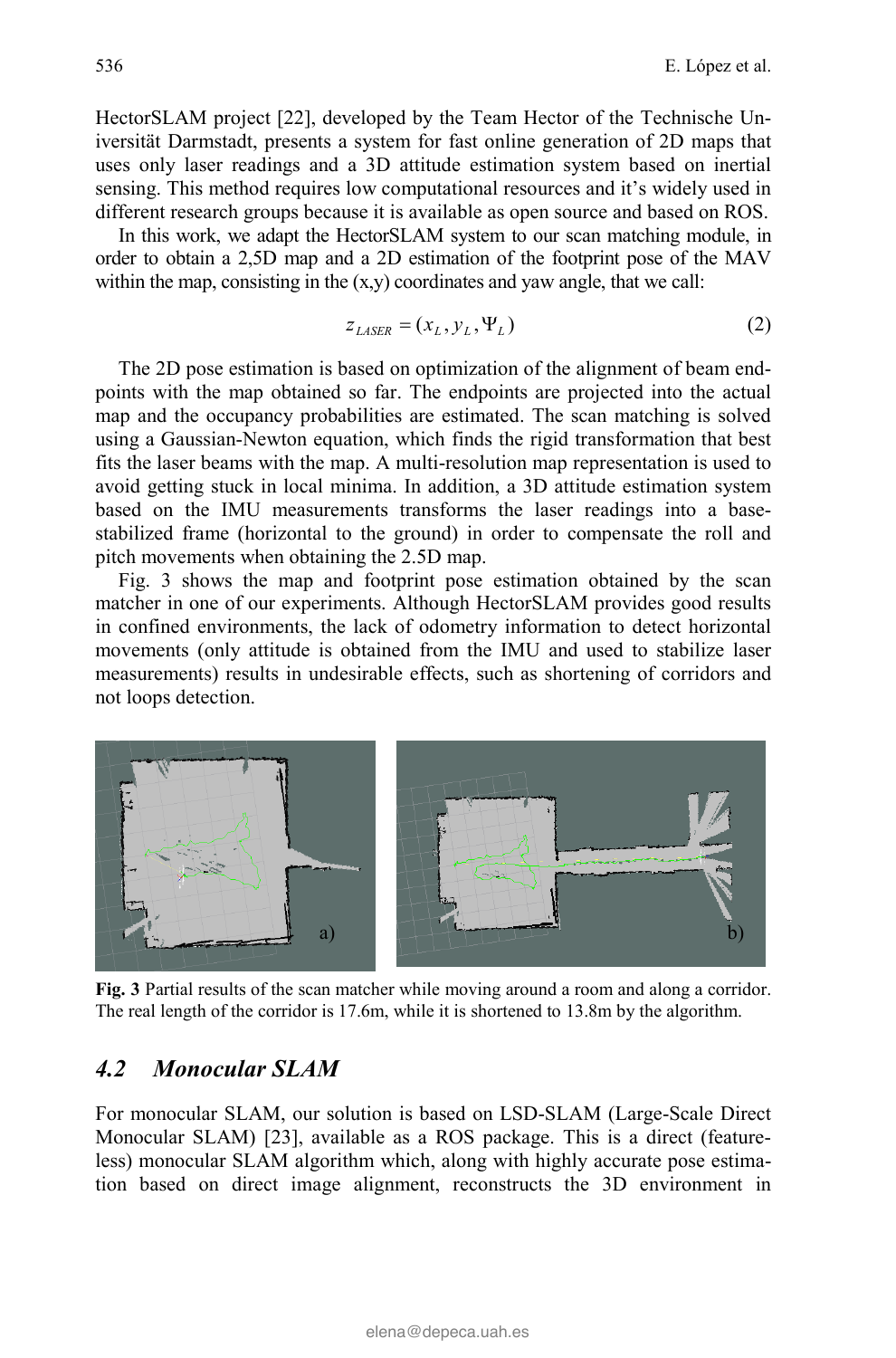HectorSLAM project [22], developed by the Team Hector of the Technische Universität Darmstadt, presents a system for fast online generation of 2D maps that uses only laser readings and a 3D attitude estimation system based on inertial sensing. This method requires low computational resources and it's widely used in different research groups because it is available as open source and based on ROS.

In this work, we adapt the HectorSLAM system to our scan matching module, in order to obtain a 2,5D map and a 2D estimation of the footprint pose of the MAV within the map, consisting in the  $(x,y)$  coordinates and yaw angle, that we call:

$$
z_{LASER} = (x_L, y_L, \Psi_L) \tag{2}
$$

The 2D pose estimation is based on optimization of the alignment of beam endpoints with the map obtained so far. The endpoints are projected into the actual map and the occupancy probabilities are estimated. The scan matching is solved using a Gaussian-Newton equation, which finds the rigid transformation that best fits the laser beams with the map. A multi-resolution map representation is used to avoid getting stuck in local minima. In addition, a 3D attitude estimation system based on the IMU measurements transforms the laser readings into a basestabilized frame (horizontal to the ground) in order to compensate the roll and pitch movements when obtaining the 2.5D map.

Fig. 3 shows the map and footprint pose estimation obtained by the scan matcher in one of our experiments. Although HectorSLAM provides good results in confined environments, the lack of odometry information to detect horizontal movements (only attitude is obtained from the IMU and used to stabilize laser measurements) results in undesirable effects, such as shortening of corridors and not loops detection.



**Fig. 3** Partial results of the scan matcher while moving around a room and along a corridor. The real length of the corridor is 17.6m, while it is shortened to 13.8m by the algorithm.

### *4.2 Monocular SLAM*

For monocular SLAM, our solution is based on LSD-SLAM (Large-Scale Direct Monocular SLAM) [23], available as a ROS package. This is a direct (featureless) monocular SLAM algorithm which, along with highly accurate pose estimation based on direct image alignment, reconstructs the 3D environment in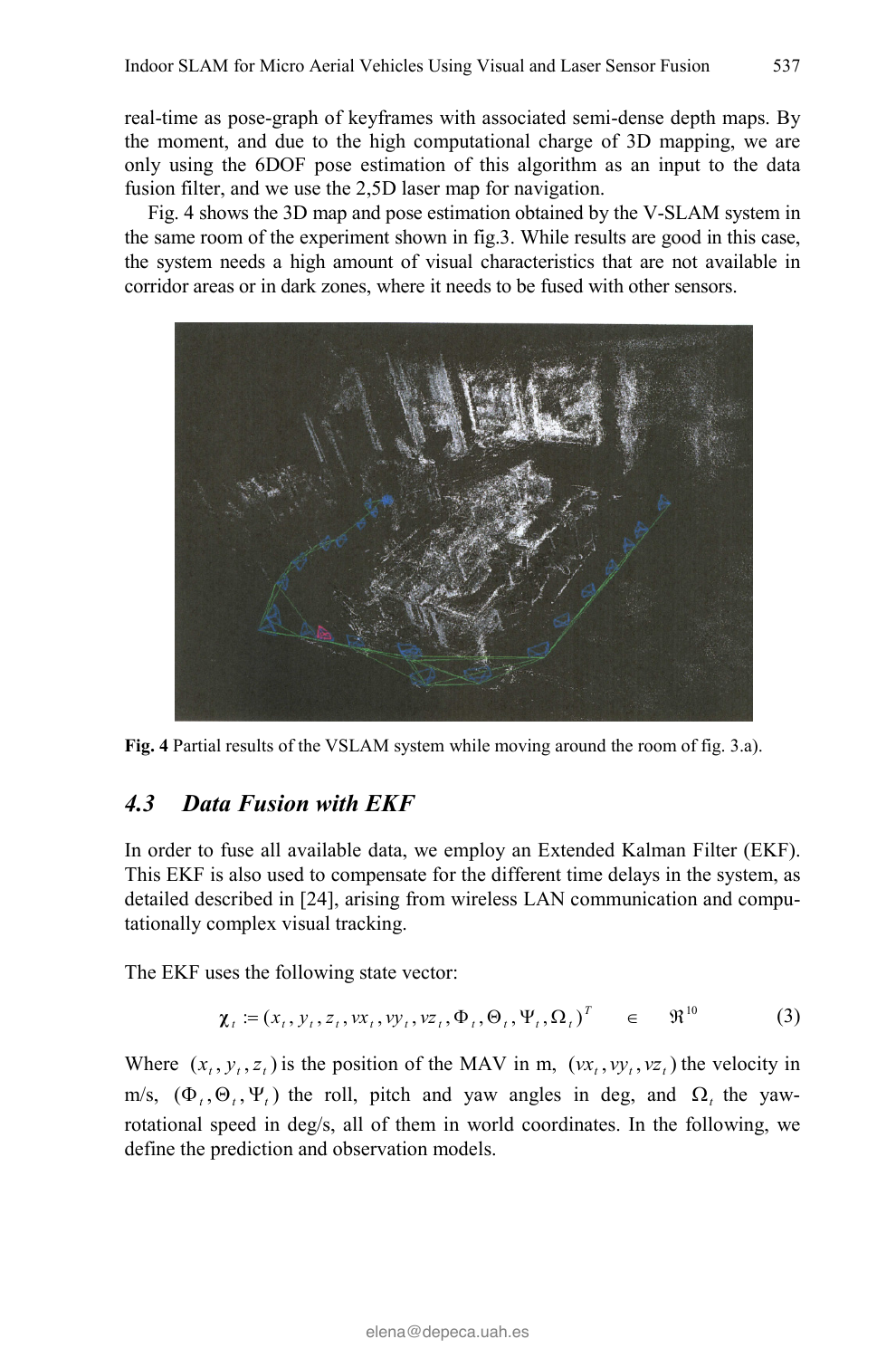real-time as pose-graph of keyframes with associated semi-dense depth maps. By the moment, and due to the high computational charge of 3D mapping, we are only using the 6DOF pose estimation of this algorithm as an input to the data fusion filter, and we use the 2,5D laser map for navigation.

Fig. 4 shows the 3D map and pose estimation obtained by the V-SLAM system in the same room of the experiment shown in fig.3. While results are good in this case, the system needs a high amount of visual characteristics that are not available in corridor areas or in dark zones, where it needs to be fused with other sensors.



**Fig. 4** Partial results of the VSLAM system while moving around the room of fig. 3.a).

## *4.3 Data Fusion with EKF*

In order to fuse all available data, we employ an Extended Kalman Filter (EKF). This EKF is also used to compensate for the different time delays in the system, as detailed described in [24], arising from wireless LAN communication and computationally complex visual tracking.

The EKF uses the following state vector:

$$
\chi_t := (x_t, y_t, z_t, vx_t, vy_t, vz_t, \Phi_t, \Theta_t, \Psi_t, \Omega_t)^T \quad \in \quad \mathfrak{R}^{10} \tag{3}
$$

Where  $(x_t, y_t, z_t)$  is the position of the MAV in m,  $(x_x, vy_t, vz_t)$  the velocity in m/s,  $(\Phi_t, \Theta_t, \Psi_t)$  the roll, pitch and yaw angles in deg, and  $\Omega_t$  the yawrotational speed in deg/s, all of them in world coordinates. In the following, we define the prediction and observation models.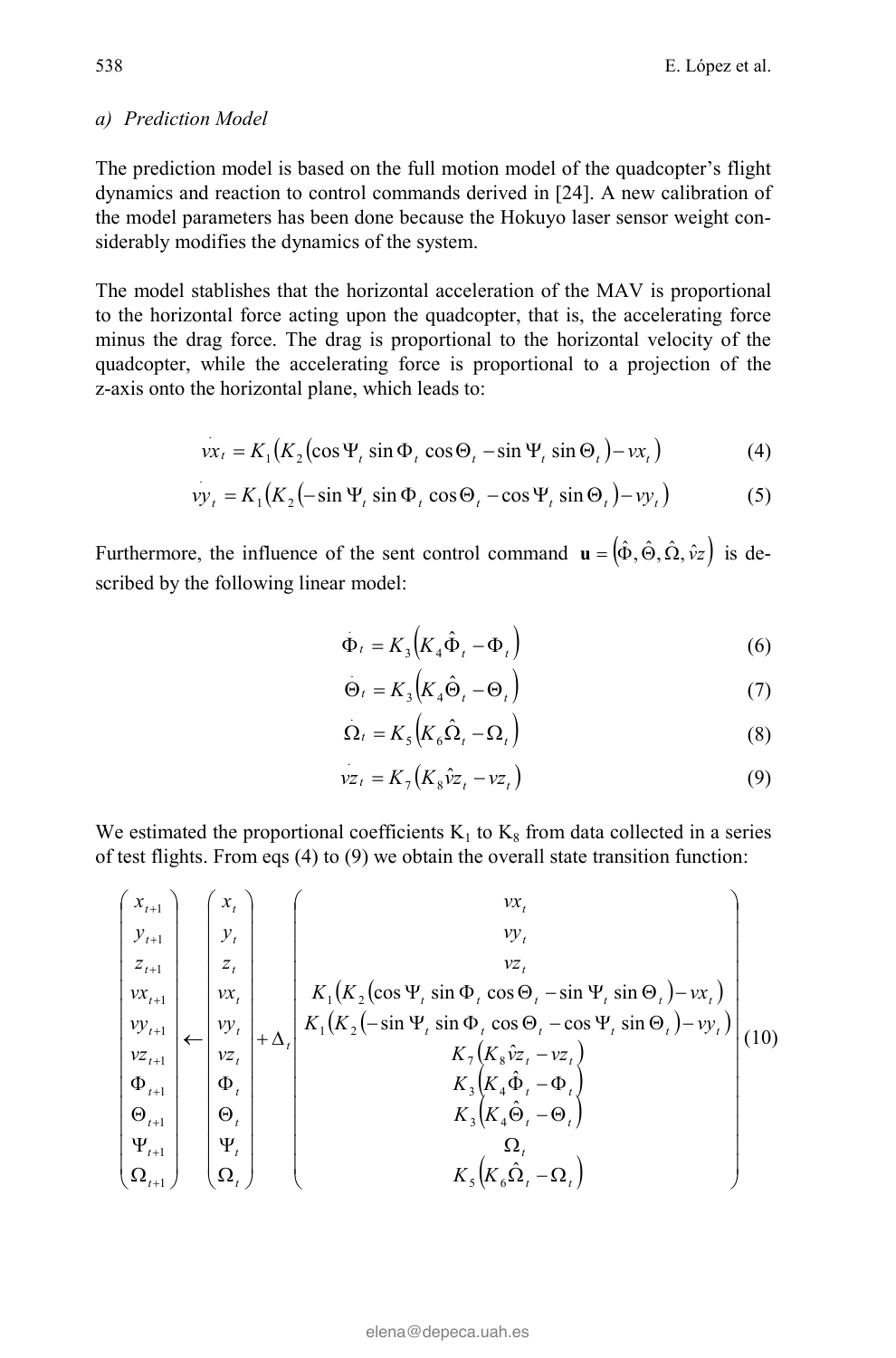#### *a) Prediction Model*

The prediction model is based on the full motion model of the quadcopter's flight dynamics and reaction to control commands derived in [24]. A new calibration of the model parameters has been done because the Hokuyo laser sensor weight considerably modifies the dynamics of the system.

The model stablishes that the horizontal acceleration of the MAV is proportional to the horizontal force acting upon the quadcopter, that is, the accelerating force minus the drag force. The drag is proportional to the horizontal velocity of the quadcopter, while the accelerating force is proportional to a projection of the z-axis onto the horizontal plane, which leads to:

$$
vx_t = K_1(K_2(\cos\Psi_t \sin\Phi_t \cos\Theta_t - \sin\Psi_t \sin\Theta_t) - vx_t)
$$
 (4)

$$
vyt = K1(K2(-\sin \Psit \sin \Phit \cos \Thetat - \cos \Psit \sin \Thetat) - vyt)
$$
 (5)

Furthermore, the influence of the sent control command  $\mathbf{u} = (\hat{\Phi}, \hat{\Theta}, \hat{\Omega}, \hat{\nu}z)$  is described by the following linear model:

$$
\Phi_t = K_3 \Big( K_4 \hat{\Phi}_t - \Phi_t \Big) \tag{6}
$$

$$
\Theta_t = K_3 \Big( K_4 \hat{\Theta}_t - \Theta_t \Big) \tag{7}
$$

$$
\dot{\Omega}_t = K_s \Big( K_6 \hat{\Omega}_t - \Omega_t \Big) \tag{8}
$$

$$
\dot{v}z_t = K_\tau \left( K_s \hat{v}z_t - v z_t \right) \tag{9}
$$

We estimated the proportional coefficients  $K_1$  to  $K_8$  from data collected in a series of test flights. From eqs (4) to (9) we obtain the overall state transition function:

$$
\begin{pmatrix}\n x_{t+1} \\
y_{t+1} \\
z_{t+1} \\
y_{t+1} \\
y_{t+1} \\
z_{t+1} \\
y_{t+1} \\
\vdots \\
\theta_{t+1} \\
\theta_{t+1} \\
\theta_{t+1} \\
\theta_{t} \\
\theta_{t} \\
\theta_{t} \\
\theta_{t} \\
\theta_{t} \\
\theta_{t} \\
\theta_{t} \\
\theta_{t} \\
\theta_{t} \\
\theta_{t} \\
\theta_{t} \\
\theta_{t} \\
\theta_{t} \\
\theta_{t} \\
\theta_{t} \\
\theta_{t} \\
\theta_{t} \\
\theta_{t} \\
\theta_{t} \\
\theta_{t} \\
\theta_{t} \\
\theta_{t} \\
\theta_{t} \\
\theta_{t} \\
\theta_{t} \\
\theta_{t} \\
\theta_{t} \\
\theta_{t} \\
\theta_{t} \\
\theta_{t} \\
\theta_{t} \\
\theta_{t} \\
\theta_{t} \\
\theta_{t} \\
\theta_{t} \\
\theta_{t} \\
\theta_{t} \\
\theta_{t} \\
\theta_{t} \\
\theta_{t} \\
\theta_{t} \\
\theta_{t} \\
\theta_{t} \\
\theta_{t} \\
\theta_{t} \\
\theta_{t} \\
\theta_{t} \\
\theta_{t} \\
\theta_{t} \\
\theta_{t} \\
\theta_{t} \\
\theta_{t} \\
\theta_{t} \\
\theta_{t} \\
\theta_{t} \\
\theta_{t} \\
\theta_{t} \\
\theta_{t} \\
\theta_{t} \\
\theta_{t} \\
\theta_{t} \\
\theta_{t} \\
\theta_{t} \\
\theta_{t} \\
\theta_{t} \\
\theta_{t} \\
\theta_{t} \\
\theta_{t} \\
\theta_{t} \\
\theta_{t} \\
\theta_{t} \\
\theta_{t} \\
\theta_{t} \\
\theta_{t} \\
\theta_{t} \\
\theta_{t} \\
\theta_{t} \\
\theta_{t} \\
\theta_{t} \\
\theta_{t} \\
\theta_{t} \\
\theta_{t} \\
\theta_{t} \\
\theta_{t} \\
\theta_{t} \\
\theta_{t} \\
\theta_{t} \\
\theta_{t} \\
\theta_{t} \\
\theta_{t} \\
\theta_{t} \\
\theta_{t} \\
\theta_{t} \\
\theta_{t} \\
\theta_{t} \\
\theta_{t} \\
\theta_{t} \\
\theta_{t} \\
\theta_{t} \\
\theta_{t} \\
\theta_{t} \\
\theta_{t} \\
\theta_{t} \\
\theta_{t} \\
\theta_{t} \\
\theta_{t} \\
\theta_{t} \\
\theta_{t} \\
\theta_{t} \\
\theta_{t} \\
\theta_{t} \\
\theta_{t} \\
\theta_{t
$$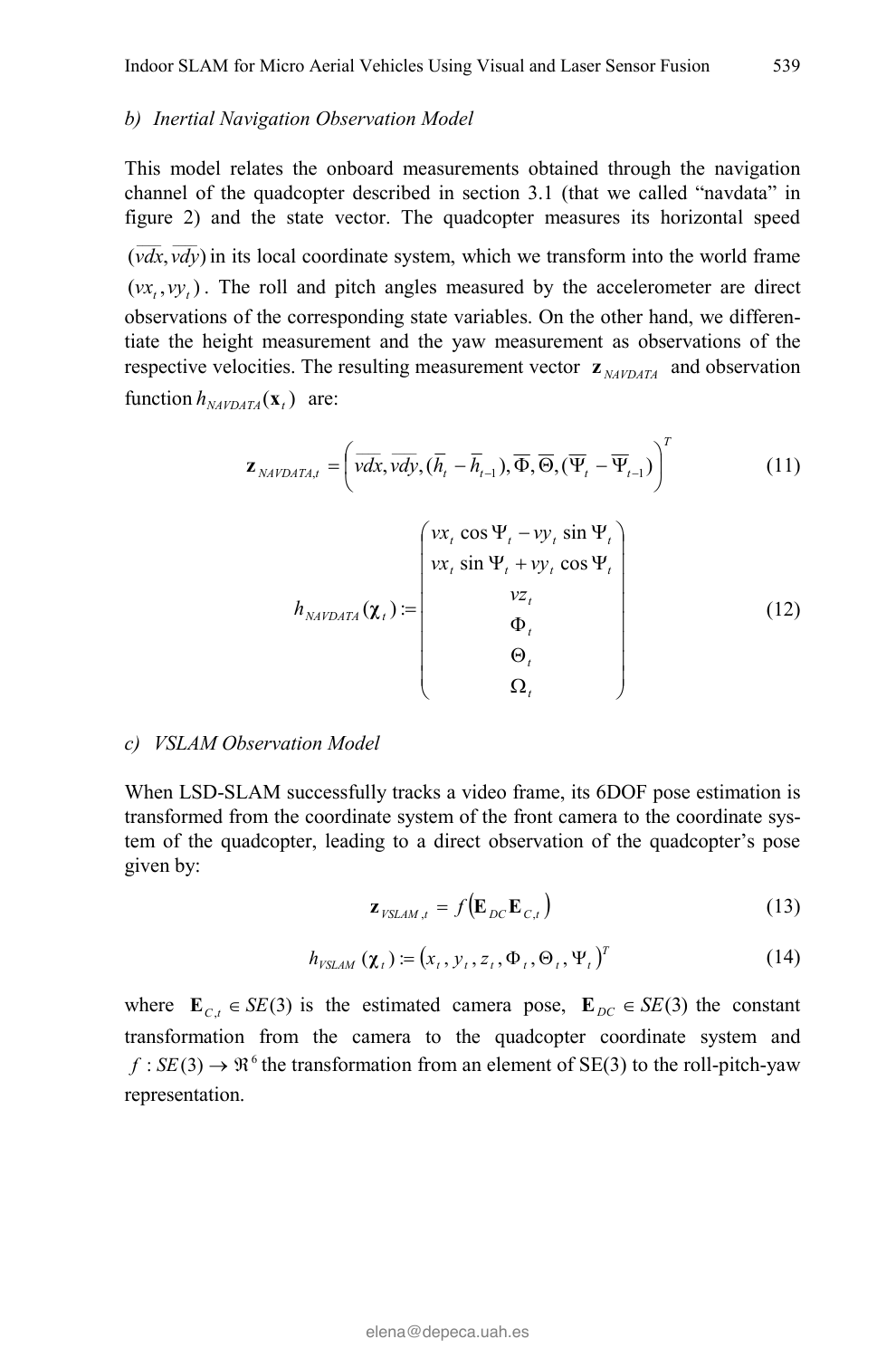#### *b) Inertial Navigation Observation Model*

This model relates the onboard measurements obtained through the navigation channel of the quadcopter described in section 3.1 (that we called "navdata" in figure 2) and the state vector. The quadcopter measures its horizontal speed

 $(\overline{vdx}, \overline{vdy})$  in its local coordinate system, which we transform into the world frame  $(vx_t, vy_t)$ . The roll and pitch angles measured by the accelerometer are direct observations of the corresponding state variables. On the other hand, we differentiate the height measurement and the yaw measurement as observations of the respective velocities. The resulting measurement vector  $\mathbf{z}_{\text{NAVDATA}}$  and observation function  $h_{\text{NAVDATA}}(\mathbf{x}_t)$  are:

$$
\mathbf{z}_{\text{NAVDATA},t} = \left(\overline{vdx}, \overline{vdy}, (\overline{h}_t - \overline{h}_{t-1}), \overline{\Phi}, \overline{\Theta}, (\overline{\Psi}_t - \overline{\Psi}_{t-1})\right)^T
$$
(11)

$$
h_{\text{NAVDATA}}(\boldsymbol{\chi}_{t}) := \begin{pmatrix} v x_{t} \cos \Psi_{t} - v y_{t} \sin \Psi_{t} \\ v x_{t} \sin \Psi_{t} + v y_{t} \cos \Psi_{t} \\ v z_{t} \\ \Phi_{t} \\ \Theta_{t} \\ \Omega_{t} \end{pmatrix}
$$
(12)

#### *c) VSLAM Observation Model*

When LSD-SLAM successfully tracks a video frame, its 6DOF pose estimation is transformed from the coordinate system of the front camera to the coordinate system of the quadcopter, leading to a direct observation of the quadcopter's pose given by:

$$
\mathbf{z}_{\text{VSLAM},t} = f(\mathbf{E}_{DC} \mathbf{E}_{C,t}) \tag{13}
$$

$$
h_{\text{VSLAM}}\left(\chi_{t}\right) := \left(x_{t}, y_{t}, z_{t}, \Phi_{t}, \Theta_{t}, \Psi_{t}\right)^{T}
$$
\n(14)

where  $\mathbf{E}_{c,t} \in SE(3)$  is the estimated camera pose,  $\mathbf{E}_{DC} \in SE(3)$  the constant transformation from the camera to the quadcopter coordinate system and  $f : SE(3) \rightarrow \mathbb{R}^6$  the transformation from an element of SE(3) to the roll-pitch-yaw representation.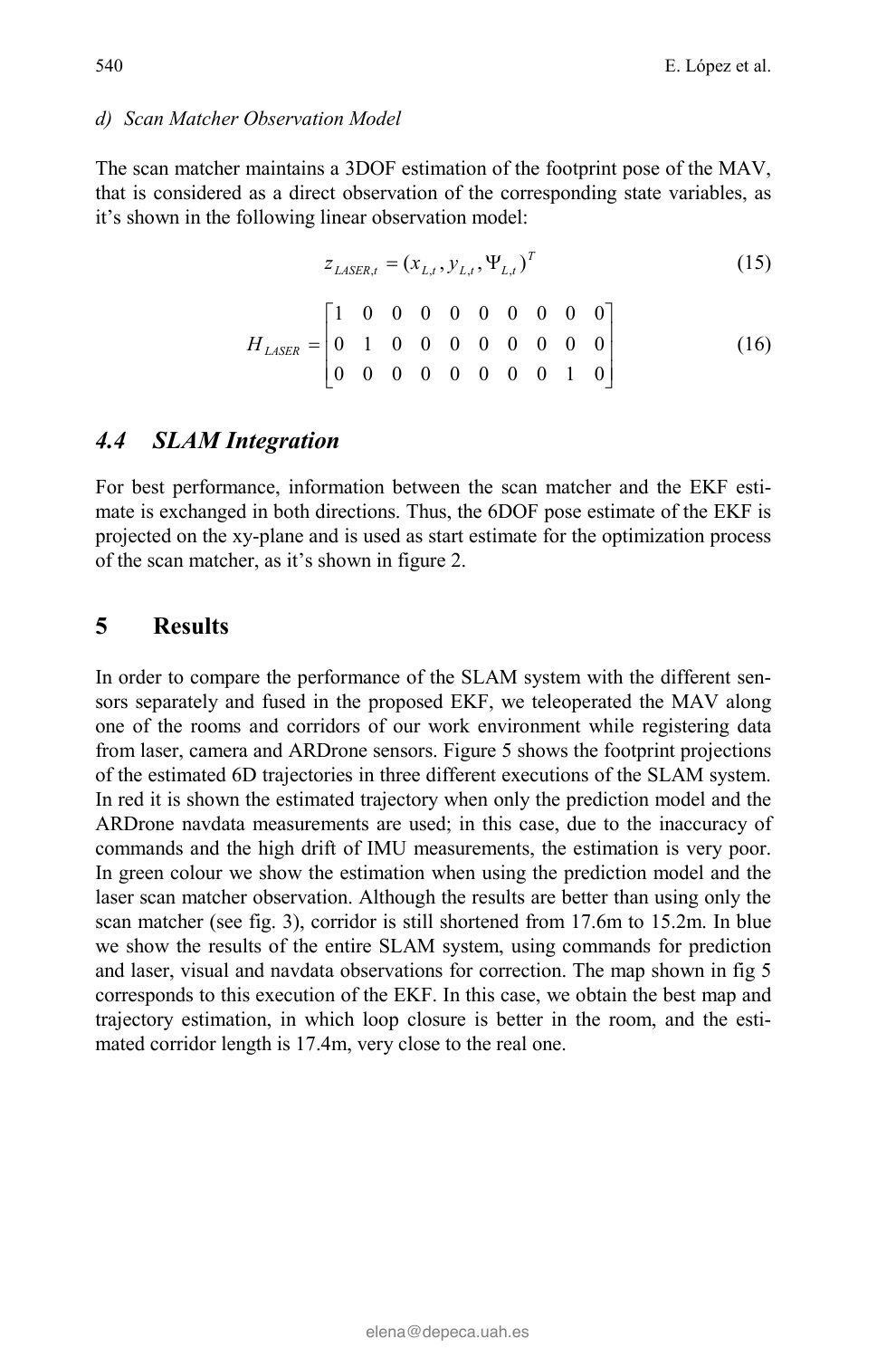#### *d) Scan Matcher Observation Model*

The scan matcher maintains a 3DOF estimation of the footprint pose of the MAV, that is considered as a direct observation of the corresponding state variables, as it's shown in the following linear observation model:

$$
z_{LASER,t} = (x_{L,t}, y_{L,t}, \Psi_{L,t})^T
$$
 (15)

$$
H_{LASER} = \begin{bmatrix} 1 & 0 & 0 & 0 & 0 & 0 & 0 & 0 & 0 \\ 0 & 1 & 0 & 0 & 0 & 0 & 0 & 0 & 0 \\ 0 & 0 & 0 & 0 & 0 & 0 & 0 & 1 & 0 \end{bmatrix}
$$
 (16)

## *4.4 SLAM Integration*

For best performance, information between the scan matcher and the EKF estimate is exchanged in both directions. Thus, the 6DOF pose estimate of the EKF is projected on the xy-plane and is used as start estimate for the optimization process of the scan matcher, as it's shown in figure 2.

## **5 Results**

In order to compare the performance of the SLAM system with the different sensors separately and fused in the proposed EKF, we teleoperated the MAV along one of the rooms and corridors of our work environment while registering data from laser, camera and ARDrone sensors. Figure 5 shows the footprint projections of the estimated 6D trajectories in three different executions of the SLAM system. In red it is shown the estimated trajectory when only the prediction model and the ARDrone navdata measurements are used; in this case, due to the inaccuracy of commands and the high drift of IMU measurements, the estimation is very poor. In green colour we show the estimation when using the prediction model and the laser scan matcher observation. Although the results are better than using only the scan matcher (see fig. 3), corridor is still shortened from 17.6m to 15.2m. In blue we show the results of the entire SLAM system, using commands for prediction and laser, visual and navdata observations for correction. The map shown in fig 5 corresponds to this execution of the EKF. In this case, we obtain the best map and trajectory estimation, in which loop closure is better in the room, and the estimated corridor length is 17.4m, very close to the real one.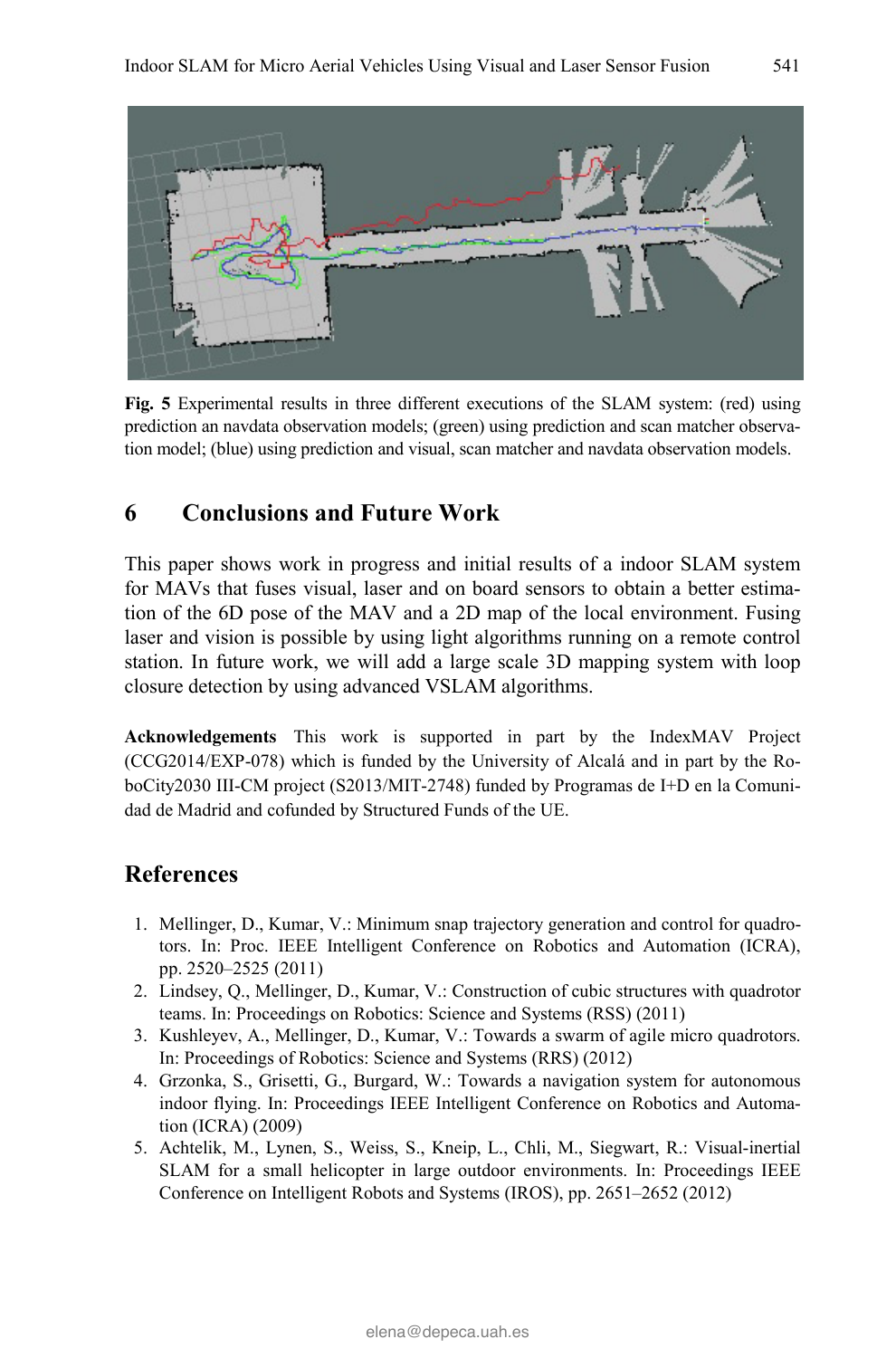

**Fig. 5** Experimental results in three different executions of the SLAM system: (red) using prediction an navdata observation models; (green) using prediction and scan matcher observation model; (blue) using prediction and visual, scan matcher and navdata observation models.

### **6 Conclusions and Future Work**

This paper shows work in progress and initial results of a indoor SLAM system for MAVs that fuses visual, laser and on board sensors to obtain a better estimation of the 6D pose of the MAV and a 2D map of the local environment. Fusing laser and vision is possible by using light algorithms running on a remote control station. In future work, we will add a large scale 3D mapping system with loop closure detection by using advanced VSLAM algorithms.

**Acknowledgements** This work is supported in part by the IndexMAV Project (CCG2014/EXP-078) which is funded by the University of Alcalá and in part by the RoboCity2030 III-CM project (S2013/MIT-2748) funded by Programas de I+D en la Comunidad de Madrid and cofunded by Structured Funds of the UE.

### **References**

- 1. Mellinger, D., Kumar, V.: Minimum snap trajectory generation and control for quadrotors. In: Proc. IEEE Intelligent Conference on Robotics and Automation (ICRA), pp. 2520–2525 (2011)
- 2. Lindsey, Q., Mellinger, D., Kumar, V.: Construction of cubic structures with quadrotor teams. In: Proceedings on Robotics: Science and Systems (RSS) (2011)
- 3. Kushleyev, A., Mellinger, D., Kumar, V.: Towards a swarm of agile micro quadrotors. In: Proceedings of Robotics: Science and Systems (RRS) (2012)
- 4. Grzonka, S., Grisetti, G., Burgard, W.: Towards a navigation system for autonomous indoor flying. In: Proceedings IEEE Intelligent Conference on Robotics and Automation (ICRA) (2009)
- 5. Achtelik, M., Lynen, S., Weiss, S., Kneip, L., Chli, M., Siegwart, R.: Visual-inertial SLAM for a small helicopter in large outdoor environments. In: Proceedings IEEE Conference on Intelligent Robots and Systems (IROS), pp. 2651–2652 (2012)